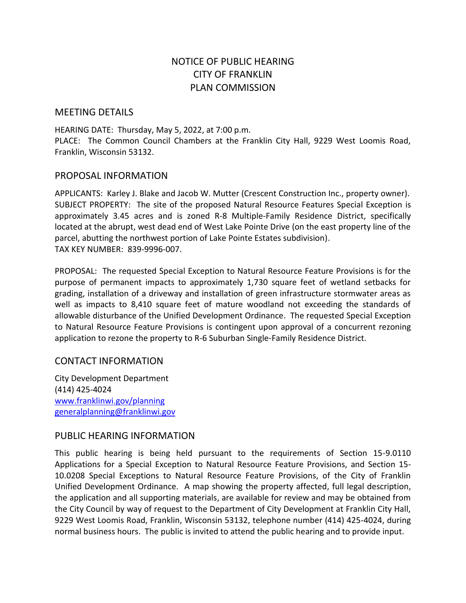# NOTICE OF PUBLIC HEARING CITY OF FRANKLIN PLAN COMMISSION

# MEETING DETAILS

HEARING DATE: Thursday, May 5, 2022, at 7:00 p.m. PLACE: The Common Council Chambers at the Franklin City Hall, 9229 West Loomis Road, Franklin, Wisconsin 53132.

### PROPOSAL INFORMATION

APPLICANTS: Karley J. Blake and Jacob W. Mutter (Crescent Construction Inc., property owner). SUBJECT PROPERTY: The site of the proposed Natural Resource Features Special Exception is approximately 3.45 acres and is zoned R-8 Multiple-Family Residence District, specifically located at the abrupt, west dead end of West Lake Pointe Drive (on the east property line of the parcel, abutting the northwest portion of Lake Pointe Estates subdivision). TAX KEY NUMBER: 839-9996-007.

PROPOSAL: The requested Special Exception to Natural Resource Feature Provisions is for the purpose of permanent impacts to approximately 1,730 square feet of wetland setbacks for grading, installation of a driveway and installation of green infrastructure stormwater areas as well as impacts to 8,410 square feet of mature woodland not exceeding the standards of allowable disturbance of the Unified Development Ordinance. The requested Special Exception to Natural Resource Feature Provisions is contingent upon approval of a concurrent rezoning application to rezone the property to R-6 Suburban Single-Family Residence District.

# CONTACT INFORMATION

City Development Department (414) 425-4024 [www.franklinwi.gov/planning](http://www.franklinwi.gov/planning) [generalplanning@franklinwi.gov](mailto:generalplanning@franklinwi.gov)

# PUBLIC HEARING INFORMATION

This public hearing is being held pursuant to the requirements of Section 15-9.0110 Applications for a Special Exception to Natural Resource Feature Provisions, and Section 15- 10.0208 Special Exceptions to Natural Resource Feature Provisions, of the City of Franklin Unified Development Ordinance. A map showing the property affected, full legal description, the application and all supporting materials, are available for review and may be obtained from the City Council by way of request to the Department of City Development at Franklin City Hall, 9229 West Loomis Road, Franklin, Wisconsin 53132, telephone number (414) 425-4024, during normal business hours. The public is invited to attend the public hearing and to provide input.